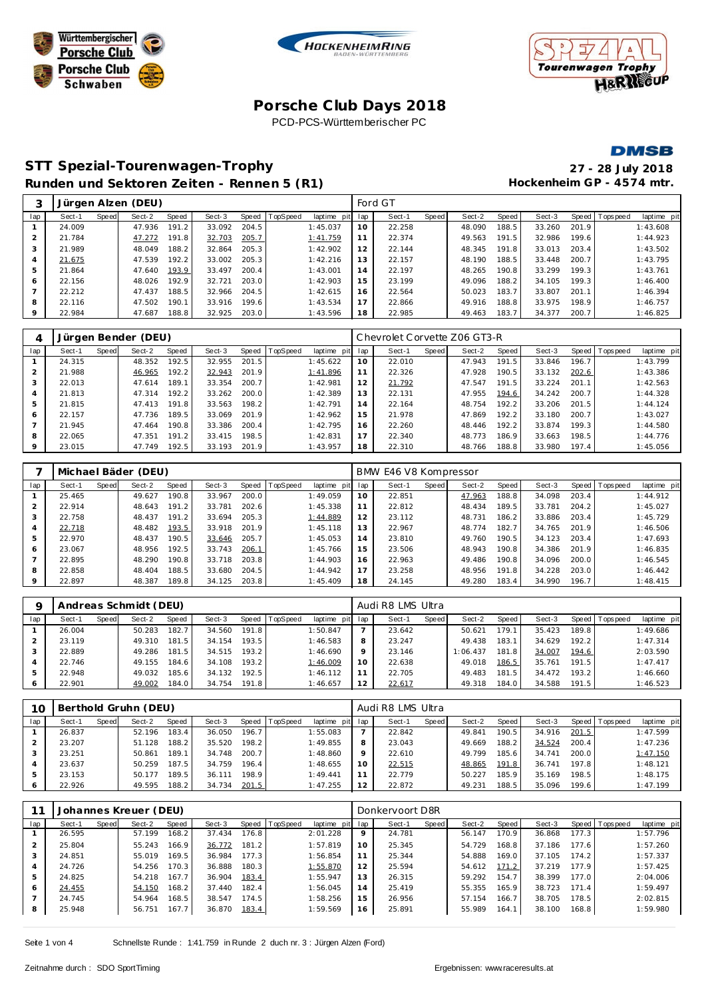





## **Porsche C lub Days 2018** PCD-PCS-Württemberischer PC

#### **DMSB**

**STT Spezial-Tourenwagen-Trophy 27 - 28 July 2018** Runden und Sektoren Zeiten - Rennen 5 (R1) **Hockenheim GP** - 4574 mtr.

|                |        |       | Jürgen Alzen (DEU) |       |        |       |                  |             |     | Ford GT |       |        |       |        |       |                 |             |
|----------------|--------|-------|--------------------|-------|--------|-------|------------------|-------------|-----|---------|-------|--------|-------|--------|-------|-----------------|-------------|
| lap            | Sect-1 | Speed | Sect-2             | Speed | Sect-3 |       | Speed   TopSpeed | laptime pit | lap | Sect-1  | Speed | Sect-2 | Speed | Sect-3 |       | Speed Tops peed | laptime pit |
|                | 24.009 |       | 47.936             | 191.2 | 33.092 | 204.5 |                  | 1:45.037    | 10  | 22.258  |       | 48.090 | 188.5 | 33.260 | 201.9 |                 | 1:43.608    |
| $\overline{2}$ | 21.784 |       | 47.272             | 191.8 | 32.703 | 205.7 |                  | 1:41.759    | 11  | 22.374  |       | 49.563 | 191.5 | 32.986 | 199.6 |                 | 1:44.923    |
| 3              | 21.989 |       | 48.049             | 188.2 | 32.864 | 205.3 |                  | 1:42.902    | 12  | 22.144  |       | 48.345 | 191.8 | 33.013 | 203.4 |                 | 1:43.502    |
| $\overline{4}$ | 21.675 |       | 47.539             | 192.2 | 33.002 | 205.3 |                  | 1:42.216    | 13  | 22.157  |       | 48.190 | 188.5 | 33.448 | 200.7 |                 | 1:43.795    |
| 5              | 21.864 |       | 47.640             | 193.9 | 33.497 | 200.4 |                  | 1:43.001    | 14  | 22.197  |       | 48.265 | 190.8 | 33.299 | 199.3 |                 | 1:43.761    |
| 6              | 22.156 |       | 48.026             | 192.9 | 32.721 | 203.0 |                  | 1:42.903    | 15  | 23.199  |       | 49.096 | 188.2 | 34.105 | 199.3 |                 | 1:46.400    |
|                | 22.212 |       | 47.437             | 188.5 | 32.966 | 204.5 |                  | 1:42.615    | 16  | 22.564  |       | 50.023 | 183.7 | 33.807 | 201.1 |                 | 1:46.394    |
| 8              | 22.116 |       | 47.502             | 190.1 | 33.916 | 199.6 |                  | 1:43.534    | 17  | 22.866  |       | 49.916 | 188.8 | 33.975 | 198.9 |                 | 1:46.757    |
| 9              | 22.984 |       | 47.687             | 188.8 | 32.925 | 203.0 |                  | 1:43.596    | 18  | 22.985  |       | 49.463 | 183.7 | 34.377 | 200.7 |                 | 1:46.825    |

|     |        |       | Jürgen Bender (DEU) |       |        |       |          |             |     | Chevrolet Corvette Z06 GT3-R |       |        |       |        |       |           |             |
|-----|--------|-------|---------------------|-------|--------|-------|----------|-------------|-----|------------------------------|-------|--------|-------|--------|-------|-----------|-------------|
| lap | Sect-1 | Speed | Sect-2              | Speed | Sect-3 | Speed | TopSpeed | laptime pit | lap | Sect-1                       | Speed | Sect-2 | Speed | Sect-3 | Speed | Tops peed | laptime pit |
|     | 24.315 |       | 48.352              | 192.5 | 32.955 | 201.5 |          | 1:45.622    | 10  | 22.010                       |       | 47.943 | 191.5 | 33.846 | 196.7 |           | 1:43.799    |
| 2   | 21.988 |       | 46.965              | 192.2 | 32.943 | 201.9 |          | 1:41.896    | 11  | 22.326                       |       | 47.928 | 190.5 | 33.132 | 202.6 |           | 1:43.386    |
| 3   | 22.013 |       | 47.614              | 189.1 | 33.354 | 200.7 |          | 1:42.981    | 12  | 21.792                       |       | 47.547 | 191.5 | 33.224 | 201.1 |           | 1:42.563    |
| 4   | 21.813 |       | 47.314              | 192.2 | 33.262 | 200.0 |          | 1:42.389    | 13  | 22.131                       |       | 47.955 | 194.6 | 34.242 | 200.7 |           | 1:44.328    |
| 5   | 21.815 |       | 47.413              | 191.8 | 33.563 | 198.2 |          | 1:42.791    | 14  | 22.164                       |       | 48.754 | 192.2 | 33.206 | 201.5 |           | 1:44.124    |
| 6   | 22.157 |       | 47.736              | 189.5 | 33.069 | 201.9 |          | 1:42.962    | 15  | 21.978                       |       | 47.869 | 192.2 | 33.180 | 200.7 |           | 1:43.027    |
|     | 21.945 |       | 47.464              | 190.8 | 33.386 | 200.4 |          | 1:42.795    | 16  | 22.260                       |       | 48.446 | 192.2 | 33.874 | 199.3 |           | 1:44.580    |
| 8   | 22.065 |       | 47.351              | 191.2 | 33.415 | 198.5 |          | 1:42.831    | 17  | 22.340                       |       | 48.773 | 186.9 | 33.663 | 198.5 |           | 1:44.776    |
| 9   | 23.015 |       | 47.749              | 192.5 | 33.193 | 201.9 |          | 1:43.957    | 18  | 22.310                       |       | 48.766 | 188.8 | 33.980 | 197.4 |           | 1:45.056    |

|         |        |       | Michael Bäder (DEU) |       |        |       |                |             |     | BMW E46 V8 Kompressor |       |        |       |        |       |                |             |
|---------|--------|-------|---------------------|-------|--------|-------|----------------|-------------|-----|-----------------------|-------|--------|-------|--------|-------|----------------|-------------|
| lap     | Sect-1 | Speed | Sect-2              | Speed | Sect-3 |       | Speed TopSpeed | laptime pit | lap | Sect-1                | Speed | Sect-2 | Speed | Sect-3 |       | Speed Topspeed | laptime pit |
|         | 25.465 |       | 49.627              | 190.8 | 33.967 | 200.0 |                | 1:49.059    | 10  | 22.851                |       | 47.963 | 188.8 | 34.098 | 203.4 |                | 1:44.912    |
|         | 22.914 |       | 48.643              | 191.2 | 33.781 | 202.6 |                | 1:45.338    | 11  | 22.812                |       | 48.434 | 189.5 | 33.781 | 204.2 |                | 1:45.027    |
| 3       | 22.758 |       | 48.437              | 191.2 | 33.694 | 205.3 |                | 1:44.889    | 12  | 23.112                |       | 48.731 | 186.2 | 33.886 | 203.4 |                | 1:45.729    |
| 4       | 22.718 |       | 48.482              | 193.5 | 33.918 | 201.9 |                | 1:45.118    | 13  | 22.967                |       | 48.774 | 182.7 | 34.765 | 201.9 |                | 1:46.506    |
| 5       | 22.970 |       | 48.437              | 190.5 | 33.646 | 205.7 |                | 1:45.053    | 14  | 23.810                |       | 49.760 | 190.5 | 34.123 | 203.4 |                | 1:47.693    |
| 6       | 23.067 |       | 48.956              | 192.5 | 33.743 | 206.1 |                | 1:45.766    | 15  | 23.506                |       | 48.943 | 190.8 | 34.386 | 201.9 |                | 1:46.835    |
|         | 22.895 |       | 48.290              | 190.8 | 33.718 | 203.8 |                | 1:44.903    | 16  | 22.963                |       | 49.486 | 190.8 | 34.096 | 200.0 |                | 1:46.545    |
| 8       | 22.858 |       | 48.404              | 188.5 | 33.680 | 204.5 |                | 1:44.942    | 17  | 23.258                |       | 48.956 | 191.8 | 34.228 | 203.0 |                | 1:46.442    |
| $\circ$ | 22.897 |       | 48.387              | 189.8 | 34.125 | 203.8 |                | 1:45.409    | 18  | 24.145                |       | 49.280 | 183.4 | 34.990 | 196.7 |                | 1:48.415    |

| $\Omega$ |        |       | Andreas Schmidt (DEU) |       |        |       |                |             |         | Audi R8 LMS Ultra |         |          |       |        |       |                |             |
|----------|--------|-------|-----------------------|-------|--------|-------|----------------|-------------|---------|-------------------|---------|----------|-------|--------|-------|----------------|-------------|
| lap      | Sect-1 | Speed | Sect-2                | Speed | Sect-3 |       | Speed TopSpeed | laptime pit | lap     | Sect-1            | Speed I | Sect-2   | Speed | Sect-3 |       | Speed Topspeed | laptime pit |
|          | 26.004 |       | 50.283                | 182.7 | 34.560 | 191.8 |                | 1:50.847    |         | 23.642            |         | 50.621   | 179.1 | 35.423 | 189.8 |                | 1:49.686    |
|          | 23.119 |       | 49.310                | 181.5 | 34.154 | 193.5 |                | 1:46.583    | 8       | 23.247            |         | 49.438   | 183.1 | 34.629 | 192.2 |                | 1:47.314    |
|          | 22.889 |       | 49.286                | 181.5 | 34.515 | 193.2 |                | 1:46.690    | $\circ$ | 23.146            |         | 1:06.437 | 181.8 | 34.007 | 194.6 |                | 2:03.590    |
| 4        | 22.746 |       | 49.155                | 184.6 | 34.108 | 193.2 |                | 1:46.009    | 10      | 22.638            |         | 49.018   | 186.5 | 35.761 | 191.5 |                | 1:47.417    |
| .5       | 22.948 |       | 49.032                | 185.6 | 34.132 | 192.5 |                | 1:46.112    | 11      | 22.705            |         | 49.483   | 181.5 | 34.472 | 193.2 |                | 1:46.660    |
|          | 22.901 |       | 49.002                | 184.0 | 34.754 | 191.8 |                | 1:46.657    | 12      | 22.617            |         | 49.318   | 184.0 | 34.588 | 191.5 |                | 1:46.523    |

| 10  |        |       | Berthold Gruhn (DEU) |       |        |       |                 |                 |         | Audi R8 LMS Ultra |       |        |       |        |       |                 |             |
|-----|--------|-------|----------------------|-------|--------|-------|-----------------|-----------------|---------|-------------------|-------|--------|-------|--------|-------|-----------------|-------------|
| lap | Sect-1 | Speed | Sect-2               | Speed | Sect-3 | Speed | <b>TopSpeed</b> | laptime pit lap |         | Sect-1            | Speed | Sect-2 | Speed | Sect-3 |       | Speed Tops peed | laptime pit |
|     | 26.837 |       | 52.196               | 183.4 | 36.050 | 196.7 |                 | 1:55.083        |         | 22.842            |       | 49.841 | 190.5 | 34.916 | 201.5 |                 | 1:47.599    |
|     | 23.207 |       | 51.128               | 188.2 | 35.520 | 198.2 |                 | 1:49.855        |         | 23.043            |       | 49.669 | 188.2 | 34.524 | 200.4 |                 | 1:47.236    |
|     | 23.251 |       | 50.861               | 189.1 | 34.748 | 200.7 |                 | 1:48.860        | $\circ$ | 22.610            |       | 49.799 | 185.6 | 34.741 | 200.0 |                 | 1:47.150    |
|     | 23.637 |       | 50.259               | 187.5 | 34.759 | 196.4 |                 | 1:48.655        | 10      | 22.515            |       | 48.865 | 191.8 | 36.741 | 197.8 |                 | 1:48.121    |
|     | 23.153 |       | 50.177               | 189.5 | 36.111 | 198.9 |                 | 1:49.441        |         | 22.779            |       | 50.227 | 185.9 | 35.169 | 198.5 |                 | 1:48.175    |
| 6   | 22.926 |       | 49.595               | 188.2 | 34.734 | 201.5 |                 | 1:47.255        | 12      | 22.872            |       | 49.231 | 188.5 | 35.096 | 199.6 |                 | 1:47.199    |

| Sect-1 | Speed | Sect-2 | Speed | Sect-3                |       |                         | lap | Sect-1      | Speed | Sect-2          | Speed | Sect-3 |       | laptime pit                       |
|--------|-------|--------|-------|-----------------------|-------|-------------------------|-----|-------------|-------|-----------------|-------|--------|-------|-----------------------------------|
| 26.595 |       | 57.199 | 168.2 | 37.434                | 176.8 | 2:01.228                | 9   | 24.781      |       | 56.147          | 170.9 | 36.868 | 177.3 | 1:57.796                          |
| 25.804 |       | 55.243 | 166.9 | 36.772                |       | 1:57.819                | 10  | 25.345      |       | 54.729          | 168.8 | 37.186 | 177.6 | 1:57.260                          |
| 24.851 |       | 55.019 | 169.5 | 36.984                | 177.3 | 1:56.854                | 11  | 25.344      |       | 54.888          |       | 37.105 |       | 1:57.337                          |
| 24.726 |       | 54.256 | 170.3 | 36.888                | 180.3 | 1:55.870                | 12  | 25.594      |       | 54.612          | 171.2 | 37.219 | 177.9 | 1:57.425                          |
| 24.825 |       | 54.218 | 167.7 | 36.904                | 183.4 | 1:55.947                | 13  | 26.315      |       | 59.292          | 154.7 | 38.399 | 177.0 | 2:04.006                          |
| 24.455 |       | 54.150 | 168.2 | 37.440                | 182.4 | 1:56.045                | 14  | 25.419      |       | 55.355          | 165.9 | 38.723 | 171.4 | 1:59.497                          |
| 24.745 |       | 54.964 | 168.5 | 38.547                | 174.5 | 1:58.256                | 15  | 26.956      |       | 57.154          | 166.7 | 38.705 | 178.5 | 2:02.815                          |
| 25.948 |       | 56.751 | 167.7 | 36.870                | 183.4 | 1:59.569                | 16  | 25.891      |       | 55.989          | 164.1 | 38.100 |       | 1:59.980                          |
|        |       |        |       | Johannes Kreuer (DEU) |       | Speed TopSpeed<br>181.2 |     | laptime pit |       | Donkervoort D8R |       | 169.0  |       | Speed Tops peed<br>174.2<br>168.8 |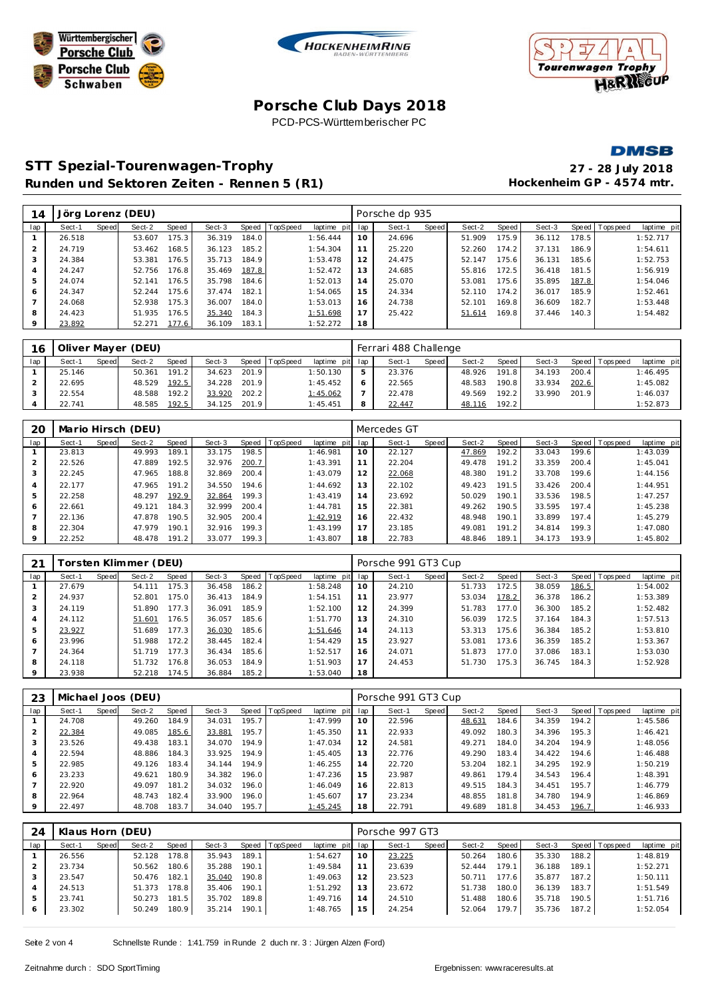





## **Porsche C lub Days 2018** PCD-PCS-Württemberischer PC

**DMSB** 

# **STT Spezial-Tourenwagen-Trophy 27 - 28 July 2018** Runden und Sektoren Zeiten - Rennen 5 (R1) **Hockenheim GP** - 4574 mtr.

| 14  |        |       | Jörg Lorenz (DEU) |       |        |       |          |          |         | Porsche dp 935 |       |        |       |        |       |                |             |
|-----|--------|-------|-------------------|-------|--------|-------|----------|----------|---------|----------------|-------|--------|-------|--------|-------|----------------|-------------|
| lap | Sect-1 | Speed | Sect-2            | Speed | Sect-3 | Speed | TopSpeed | laptime  | pit lap | Sect-1         | Speed | Sect-2 | Speed | Sect-3 |       | Speed Topspeed | laptime pit |
|     | 26.518 |       | 53.607            | 175.3 | 36.319 | 184.0 |          | 1:56.444 | 10      | 24.696         |       | 51.909 | 175.9 | 36.112 | 178.5 |                | 1:52.717    |
|     | 24.719 |       | 53.462            | 168.5 | 36.123 | 185.2 |          | 1:54.304 | 11      | 25.220         |       | 52.260 | 174.2 | 37.131 | 186.9 |                | 1:54.611    |
|     | 24.384 |       | 53.381            | 176.5 | 35.713 | 184.9 |          | 1:53.478 | 12      | 24.475         |       | 52.147 | 175.6 | 36.131 | 185.6 |                | 1:52.753    |
| 4   | 24.247 |       | 52.756            | 176.8 | 35.469 | 187.8 |          | 1:52.472 | 13      | 24.685         |       | 55.816 | 172.5 | 36.418 | 181.5 |                | 1:56.919    |
| 5   | 24.074 |       | 52.141            | 176.5 | 35.798 | 184.6 |          | 1:52.013 | 14      | 25.070         |       | 53.081 | 175.6 | 35.895 | 187.8 |                | 1:54.046    |
| 6   | 24.347 |       | 52.244            | 175.6 | 37.474 | 182.1 |          | 1:54.065 | 15      | 24.334         |       | 52.110 | 174.2 | 36.017 | 185.9 |                | 1:52.461    |
|     | 24.068 |       | 52.938            | 175.3 | 36.007 | 184.0 |          | 1:53.013 | 16      | 24.738         |       | 52.101 | 169.8 | 36.609 | 182.7 |                | 1:53.448    |
| 8   | 24.423 |       | 51.935            | 176.5 | 35.340 | 184.3 |          | 1:51.698 | 17      | 25.422         |       | 51.614 | 169.8 | 37.446 | 140.3 |                | 1:54.482    |
| 9   | 23.892 |       | 52.271            | 177.6 | 36.109 | 183.1 |          | 1:52.272 | 18      |                |       |        |       |        |       |                |             |

| 16  |        |              | Oliver Mayer (DEU) |       |        |       |                |                 | Ferrari 488 Challenge |       |        |       |        |       |                 |             |
|-----|--------|--------------|--------------------|-------|--------|-------|----------------|-----------------|-----------------------|-------|--------|-------|--------|-------|-----------------|-------------|
| lap | Sect-1 | <b>Speed</b> | Sect-2             | Speed | Sect-3 |       | Speed TopSpeed | laptime pit lap | Sect-1                | Speed | Sect-2 | Speed | Sect-3 |       | Speed Tops peed | laptime pit |
|     | 25.146 |              | 50.361             | 191.2 | 34.623 | 201.9 |                | 1:50.130        | 23.376                |       | 48.926 | 191.8 | 34.193 | 200.4 |                 | 1:46.495    |
|     | 22.695 |              | 48.529             | 192.5 | 34.228 | 201.9 |                | 1:45.452        | 22.565                |       | 48.583 | 190.8 | 33.934 | 202.6 |                 | 1:45.082    |
|     | 22.554 |              | 48.588             | 192.2 | 33.920 | 202.2 |                | 1:45.062        | 22.478                |       | 49.569 | 192.2 | 33.990 | 201.9 |                 | 1:46.037    |
|     | 22.741 |              | 48.585             | 192.5 | 34.125 | 201.9 |                | 1:45.451        | 22.447                |       | 48.116 | 192.2 |        |       |                 | 1:52.873    |

| 20             |        |       | Mario Hirsch (DEU) |       |        |       |                |                 |    | Mercedes GT |       |        |       |        |       |                |             |
|----------------|--------|-------|--------------------|-------|--------|-------|----------------|-----------------|----|-------------|-------|--------|-------|--------|-------|----------------|-------------|
| lap            | Sect-1 | Speed | Sect-2             | Speed | Sect-3 |       | Speed TopSpeed | laptime pit lap |    | Sect-1      | Speed | Sect-2 | Speed | Sect-3 |       | Speed Topspeed | laptime pit |
|                | 23.813 |       | 49.993             | 189.1 | 33.175 | 198.5 |                | 1:46.981        | 10 | 22.127      |       | 47.869 | 192.2 | 33.043 | 199.6 |                | 1:43.039    |
| 2              | 22.526 |       | 47.889             | 192.5 | 32.976 | 200.7 |                | 1:43.391        | 11 | 22.204      |       | 49.478 | 191.2 | 33.359 | 200.4 |                | 1:45.041    |
| 3              | 22.245 |       | 47.965             | 188.8 | 32.869 | 200.4 |                | 1:43.079        | 12 | 22.068      |       | 48.380 | 191.2 | 33.708 | 199.6 |                | 1:44.156    |
| $\overline{4}$ | 22.177 |       | 47.965             | 191.2 | 34.550 | 194.6 |                | 1:44.692        | 13 | 22.102      |       | 49.423 | 191.5 | 33.426 | 200.4 |                | 1:44.951    |
| 5              | 22.258 |       | 48.297             | 192.9 | 32.864 | 199.3 |                | 1:43.419        | 14 | 23.692      |       | 50.029 | 190.1 | 33.536 | 198.5 |                | 1:47.257    |
| 6              | 22.661 |       | 49.121             | 184.3 | 32.999 | 200.4 |                | 1:44.781        | 15 | 22.381      |       | 49.262 | 190.5 | 33.595 | 197.4 |                | 1:45.238    |
|                | 22.136 |       | 47.878             | 190.5 | 32.905 | 200.4 |                | 1:42.919        | 16 | 22.432      |       | 48.948 | 190.1 | 33.899 | 197.4 |                | 1:45.279    |
| 8              | 22.304 |       | 47.979             | 190.1 | 32.916 | 199.3 |                | 1:43.199        | 17 | 23.185      |       | 49.081 | 191.2 | 34.814 | 199.3 |                | 1:47.080    |
| $\mathsf Q$    | 22.252 |       | 48.478             | 191.2 | 33.077 | 199.3 |                | 1:43.807        | 18 | 22.783      |       | 48.846 | 189.1 | 34.173 | 193.9 |                | 1:45.802    |

| 21            |        |       | Forsten Klimmer (DEU) |       |        |       |                |             |     | Porsche 991 GT3 Cup |       |        |       |        |       |                |             |
|---------------|--------|-------|-----------------------|-------|--------|-------|----------------|-------------|-----|---------------------|-------|--------|-------|--------|-------|----------------|-------------|
| lap           | Sect-1 | Speed | Sect-2                | Speed | Sect-3 |       | Speed TopSpeed | laptime pit | lap | Sect-1              | Speed | Sect-2 | Speed | Sect-3 |       | Speed Topspeed | laptime pit |
|               | 27.679 |       | 54.111                | 175.3 | 36.458 | 186.2 |                | 1:58.248    | 10  | 24.210              |       | 51.733 | 172.5 | 38.059 | 186.5 |                | 1:54.002    |
| $\mathcal{P}$ | 24.937 |       | 52.801                | 175.0 | 36.413 | 184.9 |                | 1:54.151    | 11  | 23.977              |       | 53.034 | 178.2 | 36.378 | 186.2 |                | 1:53.389    |
| 3             | 24.119 |       | 51.890                | 177.3 | 36.091 | 185.9 |                | 1:52.100    | 12  | 24.399              |       | 51.783 | 177.0 | 36.300 | 185.2 |                | 1:52.482    |
| 4             | 24.112 |       | 51.601                | 176.5 | 36.057 | 185.6 |                | 1:51.770    | 13  | 24.310              |       | 56.039 | 172.5 | 37.164 | 184.3 |                | 1:57.513    |
| 5             | 23.927 |       | 51.689                | 177.3 | 36.030 | 185.6 |                | 1:51.646    | 14  | 24.113              |       | 53.313 | 175.6 | 36.384 | 185.2 |                | 1:53.810    |
| 6             | 23.996 |       | 51.988                | 172.2 | 38.445 | 182.4 |                | 1:54.429    | 15  | 23.927              |       | 53.081 | 173.6 | 36.359 | 185.2 |                | 1:53.367    |
|               | 24.364 |       | 51.719                | 177.3 | 36.434 | 185.6 |                | 1:52.517    | 16  | 24.071              |       | 51.873 | 177.0 | 37.086 | 183.1 |                | 1:53.030    |
| 8             | 24.118 |       | 51.732                | 176.8 | 36.053 | 184.9 |                | 1:51.903    | 17  | 24.453              |       | 51.730 | 175.3 | 36.745 | 184.3 |                | 1:52.928    |
| 9             | 23.938 |       | 52.218                | 174.5 | 36.884 | 185.2 |                | 1:53.040    | 18  |                     |       |        |       |        |       |                |             |

| 23  |        |       | Michael Joos (DEU) |       |        |       |                |             |     | Porsche 991 GT3 Cup |       |        |       |        |       |                 |             |
|-----|--------|-------|--------------------|-------|--------|-------|----------------|-------------|-----|---------------------|-------|--------|-------|--------|-------|-----------------|-------------|
| lap | Sect-1 | Speed | Sect-2             | Speed | Sect-3 |       | Speed TopSpeed | laptime pit | lap | Sect-1              | Speed | Sect-2 | Speed | Sect-3 |       | Speed Tops peed | laptime pit |
|     | 24.708 |       | 49.260             | 184.9 | 34.031 | 195.7 |                | 1:47.999    | 10  | 22.596              |       | 48.631 | 184.6 | 34.359 | 194.2 |                 | 1:45.586    |
|     | 22.384 |       | 49.085             | 185.6 | 33.881 | 195.7 |                | 1:45.350    | 11  | 22.933              |       | 49.092 | 180.3 | 34.396 | 195.3 |                 | 1:46.421    |
|     | 23.526 |       | 49.438             | 183.1 | 34.070 | 194.9 |                | 1:47.034    | 12  | 24.581              |       | 49.271 | 184.0 | 34.204 | 194.9 |                 | 1:48.056    |
| 4   | 22.594 |       | 48.886             | 184.3 | 33.925 | 194.9 |                | 1:45.405    | 13  | 22.776              |       | 49.290 | 183.4 | 34.422 | 194.6 |                 | 1:46.488    |
| 5   | 22.985 |       | 49.126             | 183.4 | 34.144 | 194.9 |                | 1:46.255    | 14  | 22.720              |       | 53.204 | 182.1 | 34.295 | 192.9 |                 | 1:50.219    |
| 6   | 23.233 |       | 49.621             | 180.9 | 34.382 | 196.0 |                | 1:47.236    | 15  | 23.987              |       | 49.861 | 179.4 | 34.543 | 196.4 |                 | 1:48.391    |
|     | 22.920 |       | 49.097             | 181.2 | 34.032 | 196.0 |                | 1:46.049    | 16  | 22.813              |       | 49.515 | 184.3 | 34.451 | 195.7 |                 | 1:46.779    |
| 8   | 22.964 |       | 48.743             | 182.4 | 33.900 | 196.0 |                | 1:45.607    | 17  | 23.234              |       | 48.855 | 181.8 | 34.780 | 194.9 |                 | 1:46.869    |
| 9   | 22.497 |       | 48.708             | 183.7 | 34.040 | 195.7 |                | 1:45.245    | 18  | 22.791              |       | 49.689 | 181.8 | 34.453 | 196.7 |                 | 1:46.933    |

| 24  | Klaus Horn (DEU) |       |        |       |        |       |                |                 |                | Porsche 997 GT3 |       |        |       |        |       |                   |             |
|-----|------------------|-------|--------|-------|--------|-------|----------------|-----------------|----------------|-----------------|-------|--------|-------|--------|-------|-------------------|-------------|
| lap | Sect-1           | Speed | Sect-2 | Speed | Sect-3 |       | Speed TopSpeed | laptime pit lap |                | Sect-1          | Speed | Sect-2 | Speed | Sect-3 |       | Speed   Tops peed | laptime pit |
|     | 26.556           |       | 52.128 | 178.8 | 35.943 | 189.1 |                | 1:54.627        | 10             | 23.225          |       | 50.264 | 180.6 | 35.330 | 188.2 |                   | 1:48.819    |
|     | 23.734           |       | 50.562 | 180.6 | 35.288 | 190.1 |                | 1:49.584        |                | 23.639          |       | 52.444 | 179.1 | 36.188 | 189.1 |                   | 1:52.271    |
|     | 23.547           |       | 50.476 | 182.1 | 35.040 | 190.8 |                | 1:49.063        | 12             | 23.523          |       | 50.711 | 177.6 | 35.877 | 187.2 |                   | 1:50.111    |
|     | 24.513           |       | 51.373 | 178.8 | 35.406 | 190.1 |                | 1:51.292        | 1.3            | 23.672          |       | 51.738 | 180.0 | 36.139 | 183.7 |                   | 1:51.549    |
|     | 23.741           |       | 50.273 | 181.5 | 35.702 | 189.8 |                | 1:49.716        | $\overline{4}$ | 24.510          |       | 51.488 | 180.6 | 35.718 | 190.5 |                   | 1:51.716    |
|     | 23.302           |       | 50.249 | 180.9 | 35.214 | 190.1 |                | 1:48.765        | 15             | 24.254          |       | 52.064 | 179.7 | 35.736 | 187.2 |                   | 1:52.054    |

Seite 2 von 4 Schnellste Runde : 1:41.759 in Runde 2 duch nr. 3 : Jürgen Alzen (Ford)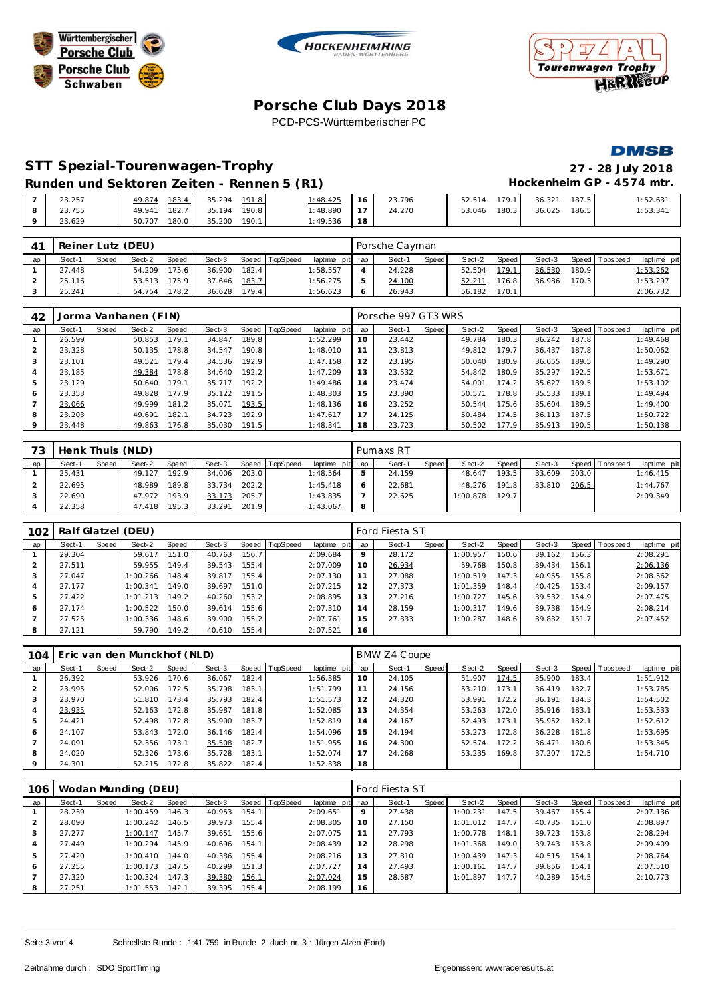





# **Porsche C lub Days 2018** PCD-PCS-Württemberischer PC

#### **DMSB**

# **STT Spezial-Tourenwagen-Trophy 27 - 28 July 2018**

**Runden und Sektoren Zeiten - Rennen 5 (R1)** 

| $\rightarrow$ | 23.257 | 49.874 183.4 35.294 191.8 | $1:48.425$ 16 23.796     |              | 52.514 179.1 36.321 187.5 | 1:52.631 |
|---------------|--------|---------------------------|--------------------------|--------------|---------------------------|----------|
| -8            | 23.755 | 49.941 182.7 35.194 190.8 | $1:48.890$   17   24.270 | 53.046 180.3 | 36.025 186.5              | 1:53.341 |
| 9             | 23.629 | 50.707 180.0 35.200 190.1 | $1:49.536$   18          |              |                           |          |

| $4^{\prime}$ | Reiner Lutz (DEU)<br>Speed TopSpeed<br>Sect-3<br>Sect-2<br>Speed<br>Sect-1<br><b>Speed</b><br>175.6<br>182.4<br>36.900<br>54.209<br>27.448 |  |        |       |        |       |  |                 | Porsche Cayman |              |        |       |        |       |                |             |
|--------------|--------------------------------------------------------------------------------------------------------------------------------------------|--|--------|-------|--------|-------|--|-----------------|----------------|--------------|--------|-------|--------|-------|----------------|-------------|
| lap          |                                                                                                                                            |  |        |       |        |       |  | laptime pit lap | Sect-1         | <b>Speed</b> | Sect-2 | Speed | Sect-3 |       | Speed Topspeed | laptime pit |
|              |                                                                                                                                            |  |        |       |        |       |  | 1:58.557        | 24.228         |              | 52.504 | 179.1 | 36.530 | 180.9 |                | 1:53.262    |
|              | 25.116                                                                                                                                     |  | 53.513 | 175.9 | 37.646 | 183.7 |  | 1:56.275        | 24.100         |              | 52.211 | 176.8 | 36.986 | 170.3 |                | 1:53.297    |
|              | 25.241                                                                                                                                     |  | 54.754 | 178.2 | 36.628 | 179.4 |  | 1:56.623        | 26.943         |              | 56.182 | 170.1 |        |       |                | 2:06.732    |

| 42             |        |       | Jorma Vanhanen (FIN) |       |        |       |          |             |     | Porsche 997 GT3 WRS |       |        |         |        |       |                |             |
|----------------|--------|-------|----------------------|-------|--------|-------|----------|-------------|-----|---------------------|-------|--------|---------|--------|-------|----------------|-------------|
| lap            | Sect-1 | Speed | Sect-2               | Speed | Sect-3 | Speed | TopSpeed | laptime pit | lap | Sect-1              | Speed | Sect-2 | Speed ' | Sect-3 |       | Speed Topspeed | laptime pit |
|                | 26.599 |       | 50.853               | 179.1 | 34.847 | 189.8 |          | 1:52.299    | 10  | 23.442              |       | 49.784 | 180.3   | 36.242 | 187.8 |                | 1:49.468    |
| 2              | 23.328 |       | 50.135               | 178.8 | 34.547 | 190.8 |          | 1:48.010    |     | 23.813              |       | 49.812 | 179.7   | 36.437 | 187.8 |                | 1:50.062    |
| 3              | 23.101 |       | 49.521               | 179.4 | 34.536 | 192.9 |          | 1:47.158    | 12  | 23.195              |       | 50.040 | 180.9   | 36.055 | 189.5 |                | 1:49.290    |
| $\overline{4}$ | 23.185 |       | 49.384               | 178.8 | 34.640 | 192.2 |          | 1:47.209    | 13  | 23.532              |       | 54.842 | 180.9   | 35.297 | 192.5 |                | 1:53.671    |
| 5              | 23.129 |       | 50.640               | 179.1 | 35.717 | 192.2 |          | 1:49.486    | 14  | 23.474              |       | 54.001 | 174.2   | 35.627 | 189.5 |                | 1:53.102    |
| 6              | 23.353 |       | 49.828               | 177.9 | 35.122 | 191.5 |          | 1:48.303    | 15  | 23.390              |       | 50.571 | 178.8   | 35.533 | 189.1 |                | 1:49.494    |
|                | 23.066 |       | 49.999               | 181.2 | 35.071 | 193.5 |          | 1:48.136    | 16  | 23.252              |       | 50.544 | 175.6   | 35.604 | 189.5 |                | 1:49.400    |
| 8              | 23.203 |       | 49.691               | 182.1 | 34.723 | 192.9 |          | 1:47.617    | 17  | 24.125              |       | 50.484 | 174.5   | 36.113 | 187.5 |                | 1:50.722    |
| 9              | 23.448 |       | 49.863               | 176.8 | 35.030 | 191.5 |          | 1:48.341    | 18  | 23.723              |       | 50.502 | 177.9   | 35.913 | 190.5 |                | 1:50.138    |

| 73  | Henk Thuis (NLD) |       |        |       |        |       |                |                 |    | Pumaxs RT |         |          |         |        |       |                 |             |
|-----|------------------|-------|--------|-------|--------|-------|----------------|-----------------|----|-----------|---------|----------|---------|--------|-------|-----------------|-------------|
| lap | Sect-1           | Speed | Sect-2 | Speed | Sect-3 |       | Speed TopSpeed | laptime pit lap |    | Sect-1    | Speed I | Sect-2   | Speed I | Sect-3 |       | Speed Tops peed | laptime pit |
|     | 25.431           |       | 49.127 | 192.9 | 34.006 | 203.0 |                | 1:48.564        | b. | 24.159    |         | 48.647   | 193.5   | 33.609 | 203.0 |                 | 1:46.415    |
|     | 22.695           |       | 48.989 | 189.8 | 33.734 | 202.2 |                | 1:45.418        |    | 22.681    |         | 48.276   | 191.8   | 33.810 | 206.5 |                 | 1:44.767    |
|     | 22.690           |       | 47.972 | 193.9 | 33.173 | 205.7 |                | 1:43.835        |    | 22.625    |         | 1:00.878 | 129.7   |        |       |                 | 2:09.349    |
|     | 22.358           |       | 47.418 | 195.3 | 33.291 | 201.9 |                | 1:43.067        | 8  |           |         |          |         |        |       |                 |             |

| 102 | Ralf Glatzel (DEU)<br>Speed TopSpeed<br>Sect-2<br>Speed<br>Sect-3<br>Sect-1<br>Speed<br>29.304<br>151.0<br>40.763<br>156.7<br>59.617<br>149.4<br>155.4<br>27.511<br>59.955<br>39.543 |  |          |       |        |       |  |             |     | Ford Fiesta ST |       |          |       |        |       |                 |             |
|-----|--------------------------------------------------------------------------------------------------------------------------------------------------------------------------------------|--|----------|-------|--------|-------|--|-------------|-----|----------------|-------|----------|-------|--------|-------|-----------------|-------------|
| lap |                                                                                                                                                                                      |  |          |       |        |       |  | laptime pit | lap | Sect-1         | Speed | Sect-2   | Speed | Sect-3 |       | Speed Tops peed | laptime pit |
|     |                                                                                                                                                                                      |  |          |       |        |       |  | 2:09.684    | 9   | 28.172         |       | 1:00.957 | 150.6 | 39.162 | 156.3 |                 | 2:08.291    |
|     |                                                                                                                                                                                      |  |          |       |        |       |  | 2:07.009    | 10  | 26.934         |       | 59.768   | 150.8 | 39.434 | 156.1 |                 | 2:06.136    |
| 3   | 27.047                                                                                                                                                                               |  | 1:00.266 | 148.4 | 39.817 | 155.4 |  | 2:07.130    | 11  | 27.088         |       | 1:00.519 | 147.3 | 40.955 | 155.8 |                 | 2:08.562    |
| 4   | 27.177                                                                                                                                                                               |  | 1:00.341 | 149.0 | 39.697 | 151.0 |  | 2:07.215    | 12  | 27.373         |       | 1:01.359 | 148.4 | 40.425 | 153.4 |                 | 2:09.157    |
| 5   | 27.422                                                                                                                                                                               |  | 1:01.213 | 149.2 | 40.260 | 153.2 |  | 2:08.895    | 13  | 27.216         |       | 1:00.727 | 145.6 | 39.532 | 154.9 |                 | 2:07.475    |
| 6   | 27.174                                                                                                                                                                               |  | 1:00.522 | 150.0 | 39.614 | 155.6 |  | 2:07.310    | 14  | 28.159         |       | 1:00.317 | 149.6 | 39.738 | 154.9 |                 | 2:08.214    |
|     | 27.525                                                                                                                                                                               |  | 1:00.336 | 148.6 | 39.900 | 155.2 |  | 2:07.761    | 15  | 27.333         |       | 1:00.287 | 148.6 | 39.832 | 151.7 |                 | 2:07.452    |
| 8   | 27.121                                                                                                                                                                               |  | 59.790   | 149.2 | 40.610 | 155.4 |  | 2:07.521    | 16  |                |       |          |       |        |       |                 |             |

| 104            | Eric van den Munckhof (NLD)<br>Speed   TopSpeed<br>Sect-3<br>Speed<br>Sect-2<br>Speed<br>Sect-1<br>170.6<br>26.392<br>182.4<br>53.926<br>36.067<br>35.798<br>23.995<br>172.5<br>183.1<br>52.006<br>23.970<br>35.793<br>182.4<br>173.4<br>51.810<br>172.8<br>23.935<br>35.987<br>181.8<br>52.163<br>24.421<br>172.8<br>183.7<br>52.498<br>35.900 |  |        |       |        |       |  |                 |    | BMW Z4 Coupe |       |        |       |        |       |                |             |
|----------------|-------------------------------------------------------------------------------------------------------------------------------------------------------------------------------------------------------------------------------------------------------------------------------------------------------------------------------------------------|--|--------|-------|--------|-------|--|-----------------|----|--------------|-------|--------|-------|--------|-------|----------------|-------------|
| lap            |                                                                                                                                                                                                                                                                                                                                                 |  |        |       |        |       |  | laptime pit lap |    | Sect-1       | Speed | Sect-2 | Speed | Sect-3 |       | Speed Topspeed | laptime pit |
|                |                                                                                                                                                                                                                                                                                                                                                 |  |        |       |        |       |  | 1:56.385        | 10 | 24.105       |       | 51.907 | 174.5 | 35.900 | 183.4 |                | 1:51.912    |
| $\mathcal{P}$  |                                                                                                                                                                                                                                                                                                                                                 |  |        |       |        |       |  | 1:51.799        | 11 | 24.156       |       | 53.210 | 173.1 | 36.419 | 182.7 |                | 1:53.785    |
| 3              |                                                                                                                                                                                                                                                                                                                                                 |  |        |       |        |       |  | 1:51.573        | 12 | 24.320       |       | 53.991 | 172.2 | 36.191 | 184.3 |                | 1:54.502    |
| $\overline{4}$ |                                                                                                                                                                                                                                                                                                                                                 |  |        |       |        |       |  | 1:52.085        | 13 | 24.354       |       | 53.263 | 172.0 | 35.916 | 183.1 |                | 1:53.533    |
| 5              |                                                                                                                                                                                                                                                                                                                                                 |  |        |       |        |       |  | 1:52.819        | 14 | 24.167       |       | 52.493 | 173.1 | 35.952 | 182.1 |                | 1:52.612    |
| 6              | 24.107                                                                                                                                                                                                                                                                                                                                          |  | 53.843 | 172.0 | 36.146 | 182.4 |  | 1:54.096        | 15 | 24.194       |       | 53.273 | 172.8 | 36.228 | 181.8 |                | 1:53.695    |
|                | 24.091                                                                                                                                                                                                                                                                                                                                          |  | 52.356 | 173.1 | 35.508 | 182.7 |  | 1:51.955        | 16 | 24.300       |       | 52.574 | 172.2 | 36.471 | 180.6 |                | 1:53.345    |
| 8              | 24.020                                                                                                                                                                                                                                                                                                                                          |  | 52.326 | 173.6 | 35.728 | 183.1 |  | 1:52.074        | 17 | 24.268       |       | 53.235 | 169.8 | 37.207 | 172.5 |                | 1:54.710    |
| $\circ$        | 24.301                                                                                                                                                                                                                                                                                                                                          |  | 52.215 | 172.8 | 35.822 | 182.4 |  | 1:52.338        | 18 |              |       |        |       |        |       |                |             |

| 106 |        |                                                                                                                                                                                                                                                                |          |       |        |       |  |          |    | Ford Fiesta ST |       |          |       |        |       |                |             |
|-----|--------|----------------------------------------------------------------------------------------------------------------------------------------------------------------------------------------------------------------------------------------------------------------|----------|-------|--------|-------|--|----------|----|----------------|-------|----------|-------|--------|-------|----------------|-------------|
| lap | Sect-1 | Wodan Munding (DEU)<br>Speed TopSpeed<br>laptime pit lap<br>Sect-2<br>Sect-3<br>Speed<br>Speed<br>1:00.459<br>146.3<br>154.1<br>40.953<br>39.973<br>155.4<br>146.5<br>1:00.242<br>145.7<br>155.6<br>39.651<br>1:00.147<br>145.9<br>40.696<br>154.1<br>1:00.294 |          |       |        |       |  |          |    | Sect-1         | Speed | Sect-2   | Speed | Sect-3 |       | Speed Topspeed | laptime pit |
|     | 28.239 |                                                                                                                                                                                                                                                                |          |       |        |       |  | 2:09.651 | 9  | 27.438         |       | 1:00.231 | 147.5 | 39.467 | 155.4 |                | 2:07.136    |
|     | 28.090 |                                                                                                                                                                                                                                                                |          |       |        |       |  | 2:08.305 | 10 | 27.150         |       | 1:01.012 | 147.7 | 40.735 | 151.0 |                | 2:08.897    |
| 3   | 27.277 |                                                                                                                                                                                                                                                                |          |       |        |       |  | 2:07.075 | 11 | 27.793         |       | 1:00.778 | 148.1 | 39.723 | 153.8 |                | 2:08.294    |
| 4   | 27.449 |                                                                                                                                                                                                                                                                |          |       |        |       |  | 2:08.439 | 12 | 28.298         |       | 1:01.368 | 149.0 | 39.743 | 153.8 |                | 2:09.409    |
| 5   | 27.420 |                                                                                                                                                                                                                                                                | 1:00.410 | 144.0 | 40.386 | 155.4 |  | 2:08.216 | 13 | 27.810         |       | 1:00.439 | 147.3 | 40.515 | 154.1 |                | 2:08.764    |
| 6   | 27.255 |                                                                                                                                                                                                                                                                | 1:00.173 | 147.5 | 40.299 | 151.3 |  | 2:07.727 | 14 | 27.493         |       | 1:00.161 | 147.7 | 39.856 | 154.1 |                | 2:07.510    |
|     | 27.320 |                                                                                                                                                                                                                                                                | 1:00.324 | 147.3 | 39.380 | 156.1 |  | 2:07.024 | 15 | 28.587         |       | 1:01.897 | 147.7 | 40.289 | 154.5 |                | 2:10.773    |
| 8   | 27.251 |                                                                                                                                                                                                                                                                | 1:01.553 | 142.1 | 39.395 | 155.4 |  | 2:08.199 | 16 |                |       |          |       |        |       |                |             |

Seite 3 von 4 Schnellste Runde : 1:41.759 in Runde 2 duch nr. 3 : Jürgen Alzen (Ford)